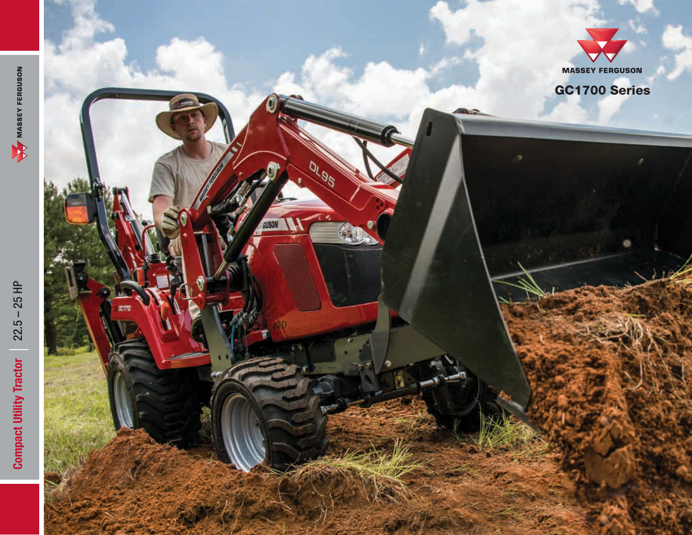

GC1700 Series

0195

**SUSON**